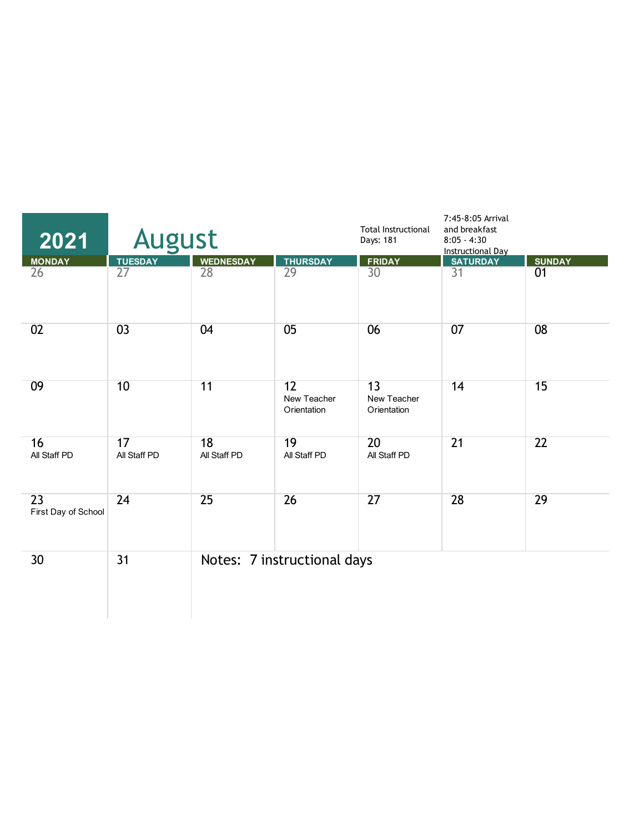| 2021                      | <b>August</b>      |                    |                                  | <b>Total Instructional</b><br>Days: 181 | 7:45-8:05 Arrival<br>and breakfast<br>$8:05 - 4:30$<br><b>Instructional Day</b> |                 |
|---------------------------|--------------------|--------------------|----------------------------------|-----------------------------------------|---------------------------------------------------------------------------------|-----------------|
| <b>MONDAY</b>             | <b>TUESDAY</b>     | <b>WEDNESDAY</b>   | <b>THURSDAY</b>                  | <b>FRIDAY</b>                           | <b>SATURDAY</b>                                                                 | <b>SUNDAY</b>   |
| 26                        | $\overline{27}$    | 28                 | 29                               | 30 <sup>°</sup>                         | 31                                                                              | 01              |
| 02                        | 03                 | 04                 | 05                               | 06                                      | 07                                                                              | 08              |
| 09                        | 10                 | 11                 | 12<br>New Teacher<br>Orientation | 13<br>New Teacher<br>Orientation        | 14                                                                              | 15              |
| 16<br>All Staff PD        | 17<br>All Staff PD | 18<br>All Staff PD | 19<br>All Staff PD               | 20<br>All Staff PD                      | $\overline{21}$                                                                 | $\overline{22}$ |
| 23<br>First Day of School | 24                 | 25                 | 26                               | 27                                      | 28                                                                              | 29              |
| 30                        | 31                 |                    | Notes: 7 instructional days      |                                         |                                                                                 |                 |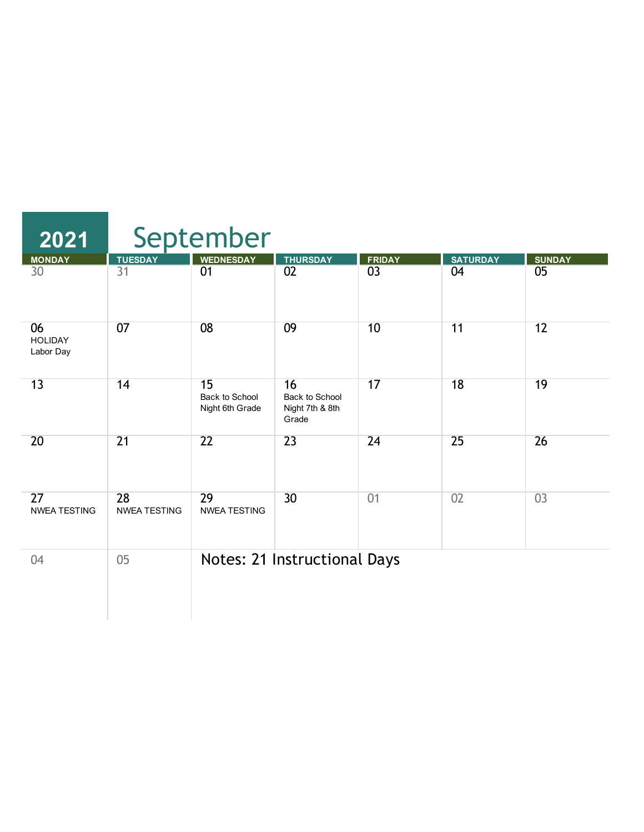| $\overline{2021}$                 |                           | September                               |                                                  |                 |                 |                 |
|-----------------------------------|---------------------------|-----------------------------------------|--------------------------------------------------|-----------------|-----------------|-----------------|
| <b>MONDAY</b>                     | <b>TUESDAY</b>            | <b>WEDNESDAY</b>                        | <b>THURSDAY</b>                                  | <b>FRIDAY</b>   | <b>SATURDAY</b> | <b>SUNDAY</b>   |
| 30                                | 31                        | 01                                      | $\overline{02}$                                  | $\overline{03}$ | 04              | 05              |
| 06<br><b>HOLIDAY</b><br>Labor Day | 07                        | 08                                      | 09                                               | 10              | 11              | 12              |
| 13                                | 14                        | 15<br>Back to School<br>Night 6th Grade | 16<br>Back to School<br>Night 7th & 8th<br>Grade | 17              | 18              | 19              |
| 20                                | $\overline{21}$           | $\overline{22}$                         | 23                                               | 24              | 25              | $\overline{26}$ |
| 27<br><b>NWEA TESTING</b>         | 28<br><b>NWEA TESTING</b> | 29<br><b>NWEA TESTING</b>               | 30                                               | 01              | 02              | 03              |
| 04                                | 05                        |                                         | Notes: 21 Instructional Days                     |                 |                 |                 |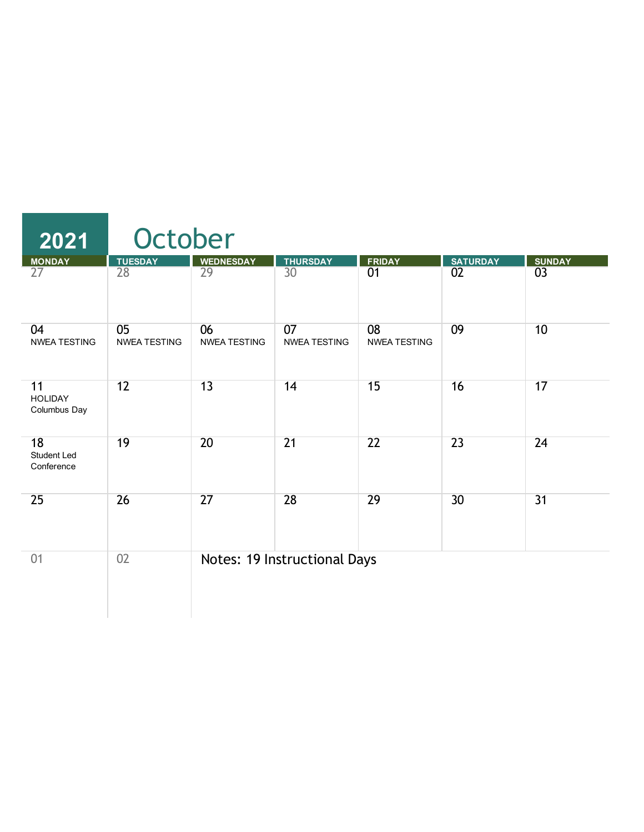| 2021                                   | October                   |                           |                                     |                           |                 |                 |  |  |
|----------------------------------------|---------------------------|---------------------------|-------------------------------------|---------------------------|-----------------|-----------------|--|--|
| <b>MONDAY</b>                          | <b>TUESDAY</b>            | <b>WEDNESDAY</b>          | <b>THURSDAY</b>                     | <b>FRIDAY</b>             | <b>SATURDAY</b> | <b>SUNDAY</b>   |  |  |
| 27                                     | 28                        | 29                        | 30                                  | 01                        | 02              | 0 <sup>3</sup>  |  |  |
| 04<br><b>NWEA TESTING</b>              | 05<br><b>NWEA TESTING</b> | 06<br><b>NWEA TESTING</b> | 07<br><b>NWEA TESTING</b>           | 08<br><b>NWEA TESTING</b> | 09              | 10              |  |  |
| 11<br><b>HOLIDAY</b><br>Columbus Day   | 12                        | 13                        | 14                                  | 15                        | 16              | 17              |  |  |
| 18<br><b>Student Led</b><br>Conference | 19                        | 20                        | $\overline{21}$                     | 22                        | $\overline{23}$ | 24              |  |  |
| 25                                     | 26                        | $\overline{27}$           | 28                                  | 29                        | 30              | $\overline{31}$ |  |  |
| 01                                     | 02                        |                           | <b>Notes: 19 Instructional Days</b> |                           |                 |                 |  |  |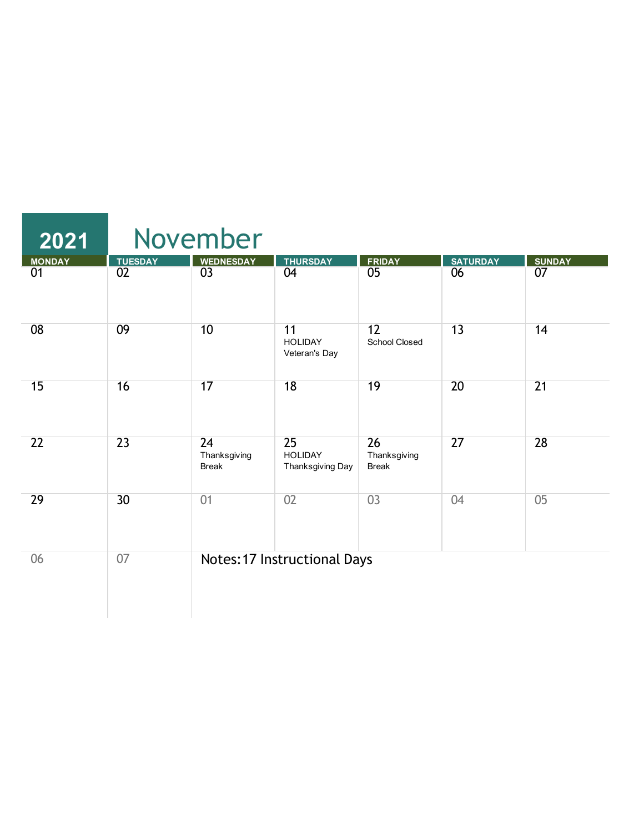| 2021          |                 | November                           |                                          |                                    |                 |                 |
|---------------|-----------------|------------------------------------|------------------------------------------|------------------------------------|-----------------|-----------------|
| <b>MONDAY</b> | <b>TUESDAY</b>  | <b>WEDNESDAY</b>                   | <b>THURSDAY</b>                          | <b>FRIDAY</b>                      | <b>SATURDAY</b> | <b>SUNDAY</b>   |
| 01            | 02              | $\overline{03}$                    | 04                                       | 05                                 | 06              | 07              |
| 08            | 09              | 10                                 | 11<br><b>HOLIDAY</b><br>Veteran's Day    | 12<br>School Closed                | 13              | 14              |
| 15            | 16              | 17                                 | 18                                       | 19                                 | 20              | $\overline{21}$ |
| 22            | 23              | 24<br>Thanksgiving<br><b>Break</b> | 25<br><b>HOLIDAY</b><br>Thanksgiving Day | 26<br>Thanksgiving<br><b>Break</b> | 27              | 28              |
| 29            | 30 <sup>2</sup> | 01                                 | 02                                       | 03                                 | 04              | 05              |
| 06            | 07              |                                    | <b>Notes: 17 Instructional Days</b>      |                                    |                 |                 |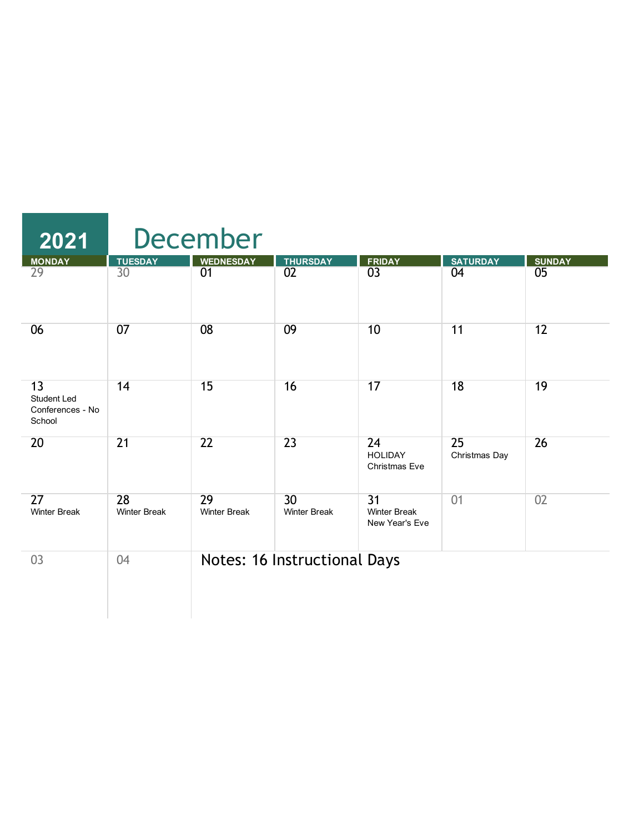| 2021                                                   |                           | <b>December</b>           |                              |                                              |                     |               |  |  |  |
|--------------------------------------------------------|---------------------------|---------------------------|------------------------------|----------------------------------------------|---------------------|---------------|--|--|--|
| <b>MONDAY</b>                                          | <b>TUESDAY</b>            | <b>WEDNESDAY</b>          | <b>THURSDAY</b>              | <b>FRIDAY</b>                                | <b>SATURDAY</b>     | <b>SUNDAY</b> |  |  |  |
| 29                                                     | 30                        | 01                        | $\overline{02}$              | $\overline{03}$                              | 04                  | 05            |  |  |  |
| 06                                                     | 07                        | 08                        | 09                           | 10                                           | 11                  | 12            |  |  |  |
| 13<br><b>Student Led</b><br>Conferences - No<br>School | 14                        | 15                        | 16                           | 17                                           | 18                  | 19            |  |  |  |
| 20                                                     | 21                        | 22                        | 23                           | 24<br><b>HOLIDAY</b><br><b>Christmas Eve</b> | 25<br>Christmas Day | 26            |  |  |  |
| 27<br><b>Winter Break</b>                              | 28<br><b>Winter Break</b> | 29<br><b>Winter Break</b> | 30<br><b>Winter Break</b>    | 31<br><b>Winter Break</b><br>New Year's Eve  | 01                  | 02            |  |  |  |
| 03                                                     | 04                        |                           | Notes: 16 Instructional Days |                                              |                     |               |  |  |  |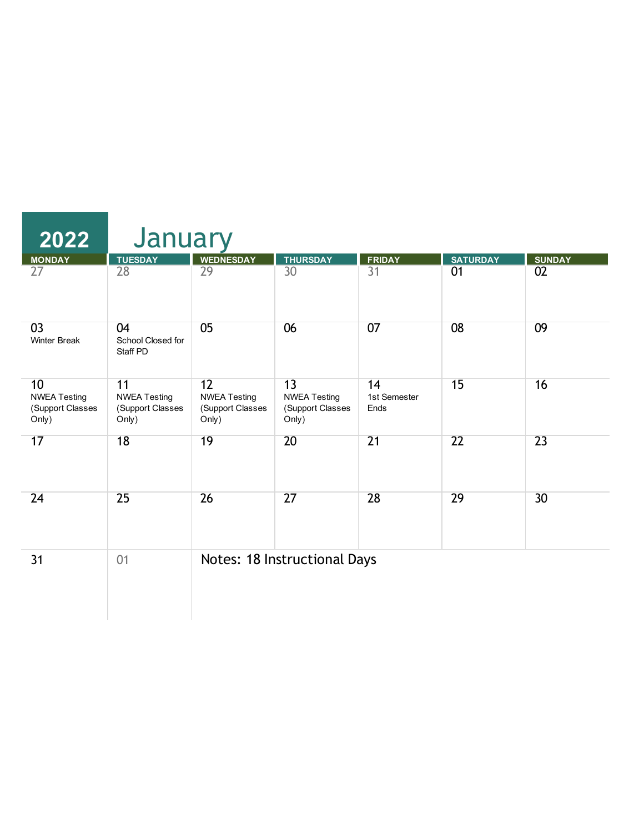| 2022                                                                | January                                                |                                                        |                                                        |                            |                 |               |  |  |
|---------------------------------------------------------------------|--------------------------------------------------------|--------------------------------------------------------|--------------------------------------------------------|----------------------------|-----------------|---------------|--|--|
| <b>MONDAY</b>                                                       | <b>TUESDAY</b>                                         | <b>WEDNESDAY</b>                                       | <b>THURSDAY</b>                                        | <b>FRIDAY</b>              | <b>SATURDAY</b> | <b>SUNDAY</b> |  |  |
| 27                                                                  | 28                                                     | $\overline{29}$                                        | $\overline{30}$                                        | $\overline{31}$            | 01              | 02            |  |  |
| 03<br><b>Winter Break</b>                                           | 04<br>School Closed for<br>Staff PD                    | 05                                                     | 06                                                     | 07                         | 08              | 09            |  |  |
| 10 <sup>°</sup><br><b>NWEA Testing</b><br>(Support Classes<br>Only) | 11<br><b>NWEA Testing</b><br>(Support Classes<br>Only) | 12<br><b>NWEA Testing</b><br>(Support Classes<br>Only) | 13<br><b>NWEA Testing</b><br>(Support Classes<br>Only) | 14<br>1st Semester<br>Ends | 15              | 16            |  |  |
| 17                                                                  | 18                                                     | 19                                                     | 20                                                     | 21                         | 22              | 23            |  |  |
| 24                                                                  | 25                                                     | 26                                                     | 27                                                     | 28                         | 29              | 30            |  |  |
| 31                                                                  | 01                                                     |                                                        | Notes: 18 Instructional Days                           |                            |                 |               |  |  |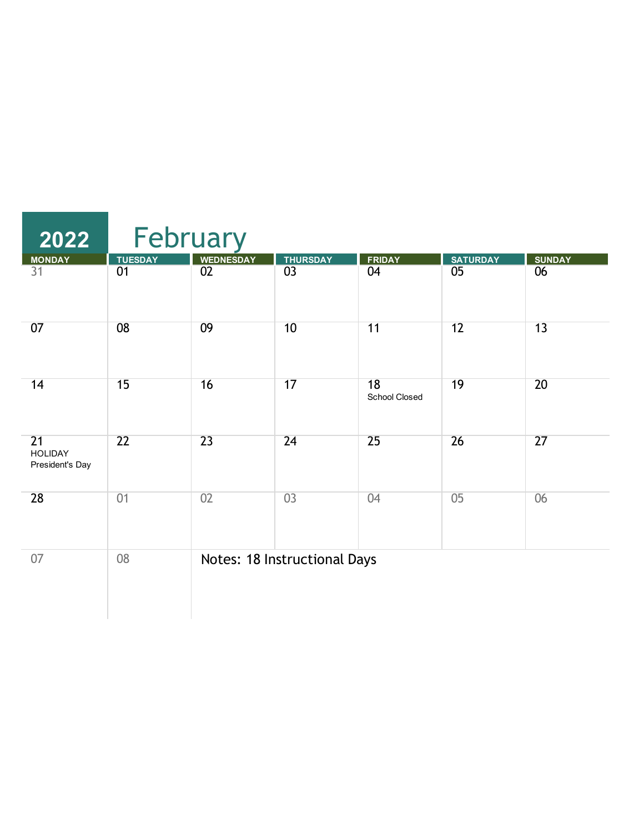| 2022                                                 |                 | February         |                              |                     |                 |                 |  |  |  |
|------------------------------------------------------|-----------------|------------------|------------------------------|---------------------|-----------------|-----------------|--|--|--|
| <b>MONDAY</b>                                        | <b>TUESDAY</b>  | <b>WEDNESDAY</b> | <b>THURSDAY</b>              | <b>FRIDAY</b>       | <b>SATURDAY</b> | <b>SUNDAY</b>   |  |  |  |
| $\overline{31}$                                      | 01              | $\overline{02}$  | $\overline{03}$              | 04                  | 05              | 06              |  |  |  |
| 07                                                   | 08              | 09               | 10                           | 11                  | $\overline{12}$ | $\overline{13}$ |  |  |  |
| 14                                                   | 15              | 16               | 17                           | 18<br>School Closed | 19              | 20              |  |  |  |
| $\overline{21}$<br><b>HOLIDAY</b><br>President's Day | $\overline{22}$ | 23               | 24                           | 25                  | $\overline{26}$ | 27              |  |  |  |
| 28                                                   | 01              | 02               | 03                           | 04                  | 05              | 06              |  |  |  |
| 07                                                   | 08              |                  | Notes: 18 Instructional Days |                     |                 |                 |  |  |  |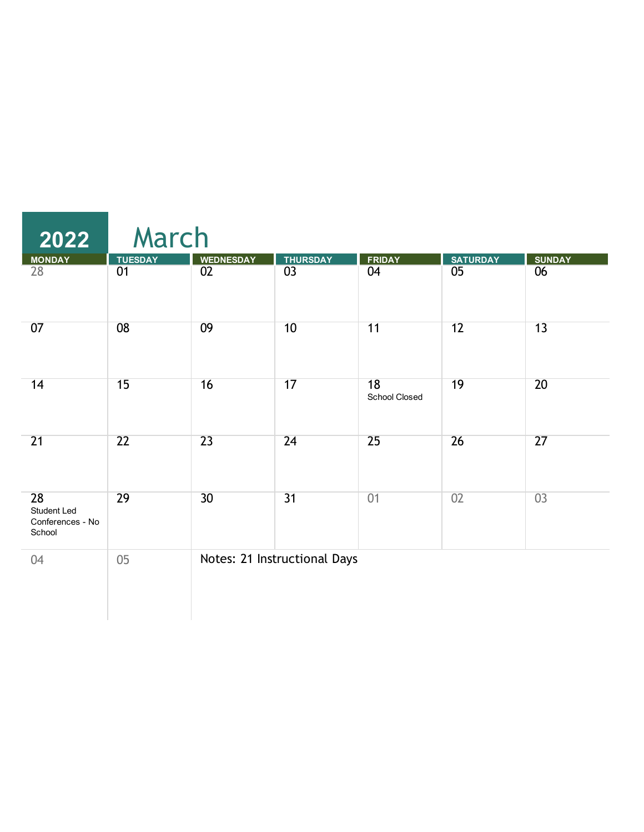| $\overline{2022}$                               | March           |                  |                              |                     |                 |                 |  |  |  |
|-------------------------------------------------|-----------------|------------------|------------------------------|---------------------|-----------------|-----------------|--|--|--|
|                                                 | <b>TUESDAY</b>  | <b>WEDNESDAY</b> | <b>THURSDAY</b>              | <b>FRIDAY</b>       | <b>SATURDAY</b> | <b>SUNDAY</b>   |  |  |  |
| MONDAY<br>28                                    | 01              | 02               | $\overline{03}$              | 04                  | 05              | 06              |  |  |  |
| 07                                              | 08              | 09               | 10                           | 11                  | 12              | 13              |  |  |  |
| 14                                              | 15              | 16               | 17                           | 18<br>School Closed | 19              | 20              |  |  |  |
| 21                                              | $\overline{22}$ | $\overline{23}$  | 24                           | $\overline{25}$     | 26              | $\overline{27}$ |  |  |  |
| 28<br>Student Led<br>Conferences - No<br>School | 29              | 30 <sup>2</sup>  | 31                           | 01                  | 02              | 03              |  |  |  |
| 04                                              | 05              |                  | Notes: 21 Instructional Days |                     |                 |                 |  |  |  |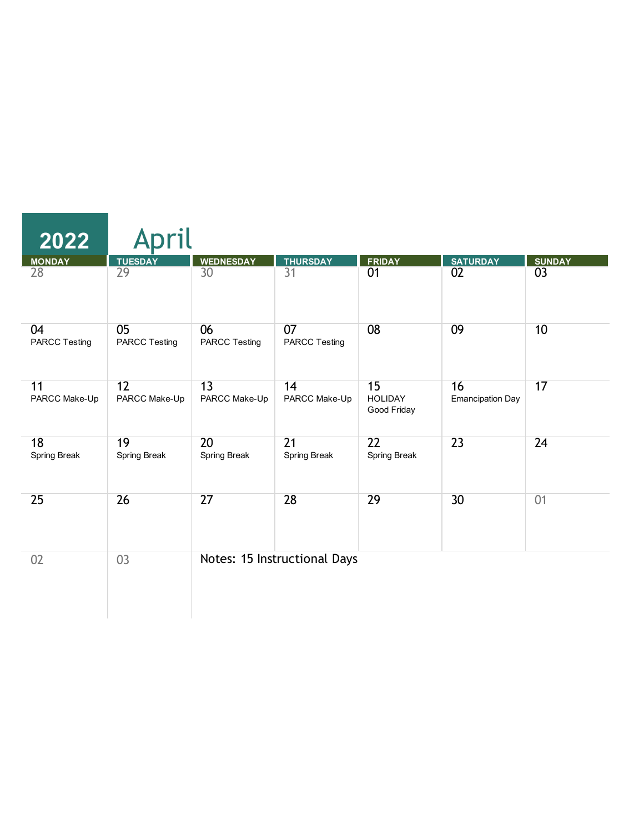| 2022                       | pril                       |                            |                                 |                                     |                               |               |
|----------------------------|----------------------------|----------------------------|---------------------------------|-------------------------------------|-------------------------------|---------------|
| <b>MONDAY</b>              | <b>TUESDAY</b>             | <b>WEDNESDAY</b>           | <b>THURSDAY</b>                 | <b>FRIDAY</b>                       | <b>SATURDAY</b>               | <b>SUNDAY</b> |
| 28                         | 29                         | 30                         | $\overline{31}$                 | 01                                  | 02                            | 03            |
| 04<br><b>PARCC Testing</b> | 05<br><b>PARCC Testing</b> | 06<br><b>PARCC Testing</b> | 07<br><b>PARCC Testing</b>      | 08                                  | 09                            | 10            |
| 11<br>PARCC Make-Up        | 12<br>PARCC Make-Up        | 13<br>PARCC Make-Up        | 14<br>PARCC Make-Up             | 15<br><b>HOLIDAY</b><br>Good Friday | 16<br><b>Emancipation Day</b> | 17            |
| 18<br>Spring Break         | 19<br>Spring Break         | 20<br>Spring Break         | $\overline{21}$<br>Spring Break | $\overline{22}$<br>Spring Break     | $\overline{23}$               | 24            |
| 25                         | 26                         | 27                         | 28                              | 29                                  | 30                            | 01            |
| 02                         | 03                         |                            | Notes: 15 Instructional Days    |                                     |                               |               |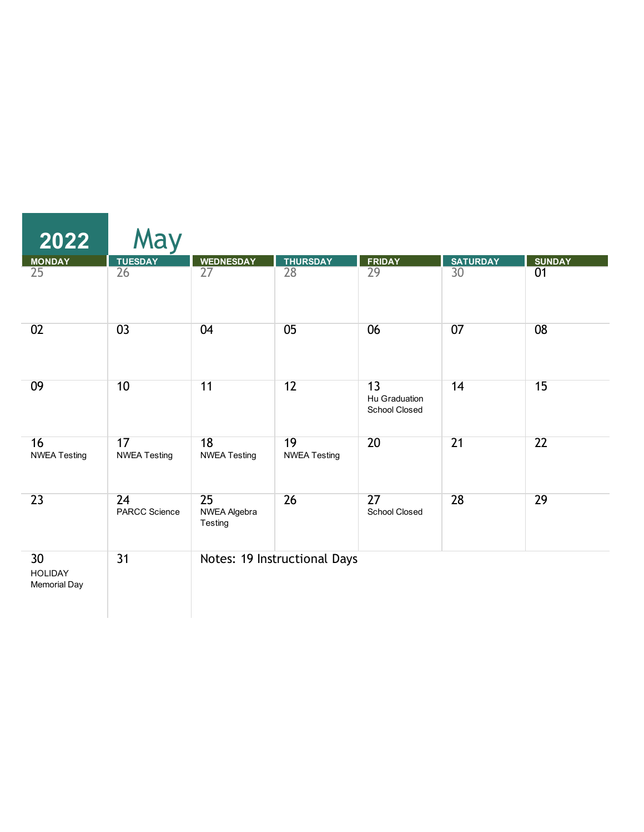| $\overline{2022}$                           | May                        |                               |                              |                                      |                 |               |
|---------------------------------------------|----------------------------|-------------------------------|------------------------------|--------------------------------------|-----------------|---------------|
| <b>MONDAY</b>                               | <b>TUESDAY</b>             | <b>WEDNESDAY</b>              | <b>THURSDAY</b>              | <b>FRIDAY</b>                        | <b>SATURDAY</b> | <b>SUNDAY</b> |
| 25                                          | 26                         | $\overline{27}$               | 28                           | $\overline{29}$                      | 30              | 01            |
| 02                                          | 0 <sup>3</sup>             | 04                            | 05                           | 06                                   | 07              | 08            |
| 09                                          | 10                         | 11                            | 12                           | 13<br>Hu Graduation<br>School Closed | 14              | 15            |
| 16<br><b>NWEA Testing</b>                   | 17<br><b>NWEA Testing</b>  | 18<br><b>NWEA Testing</b>     | 19<br><b>NWEA Testing</b>    | 20                                   | $\overline{21}$ | 22            |
| 23                                          | 24<br><b>PARCC Science</b> | 25<br>NWEA Algebra<br>Testing | 26                           | 27<br><b>School Closed</b>           | 28              | 29            |
| 30<br><b>HOLIDAY</b><br><b>Memorial Day</b> | 31                         |                               | Notes: 19 Instructional Days |                                      |                 |               |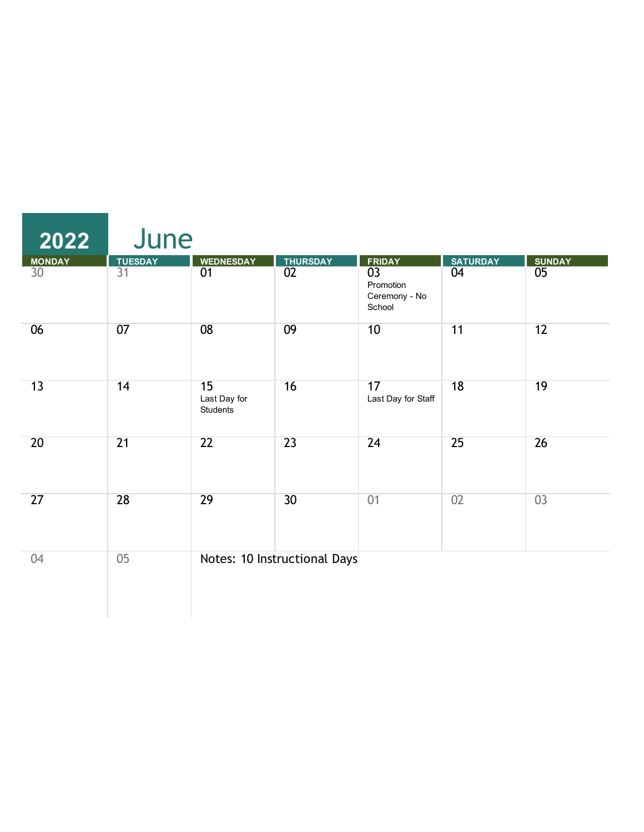| 2022                             | June                 |                                       |                              |                                                                          |                       |                     |
|----------------------------------|----------------------|---------------------------------------|------------------------------|--------------------------------------------------------------------------|-----------------------|---------------------|
| <b>MONDAY</b><br>30 <sup>°</sup> | <b>TUESDAY</b><br>31 | <b>WEDNESDAY</b><br>01                | <b>THURSDAY</b><br>02        | <b>FRIDAY</b><br>$\overline{03}$<br>Promotion<br>Ceremony - No<br>School | <b>SATURDAY</b><br>04 | <b>SUNDAY</b><br>05 |
| 06                               | 07                   | 08                                    | 09                           | 10                                                                       | 11                    | 12                  |
| 13                               | 14                   | 15<br>Last Day for<br><b>Students</b> | 16                           | 17<br>Last Day for Staff                                                 | $\overline{18}$       | 19                  |
| 20                               | 21                   | $\overline{22}$                       | 23                           | $\overline{24}$                                                          | 25                    | 26                  |
| 27                               | 28                   | $\overline{29}$                       | 30                           | 01                                                                       | 02                    | 03                  |
| 04                               | 05                   |                                       | Notes: 10 Instructional Days |                                                                          |                       |                     |